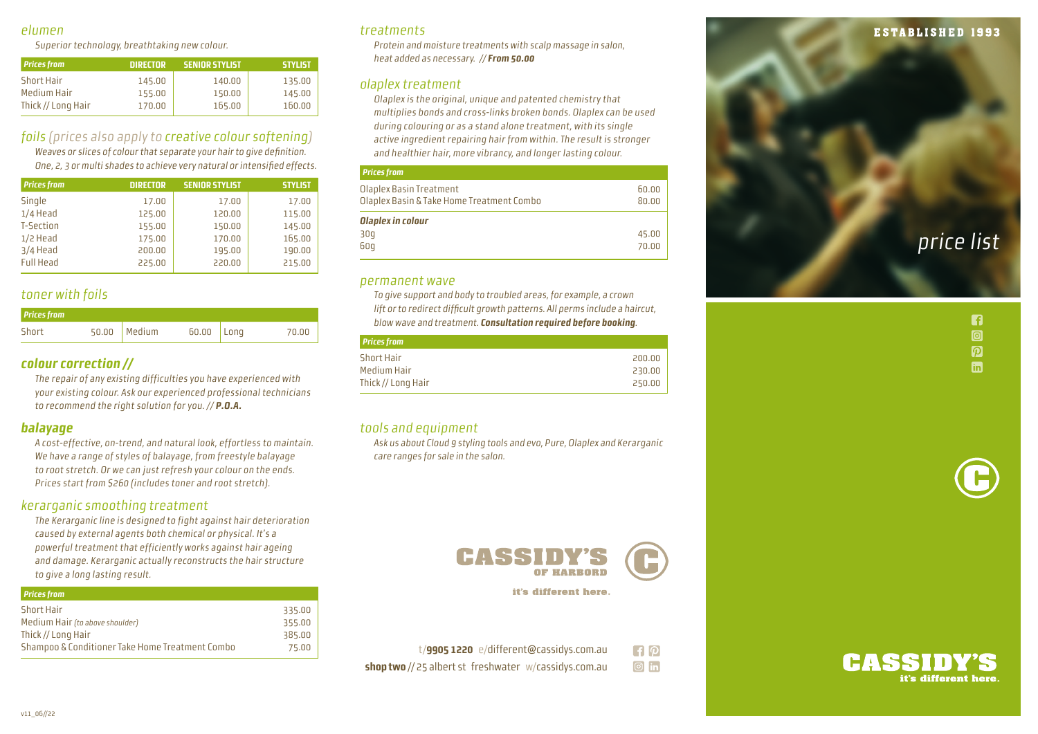## elumen

Superior technology, breathtaking new colour.

| <b>Prices from</b> | DIRECTOR | <b>SENIOR STYLIST</b> | <b>STYLIST</b> |
|--------------------|----------|-----------------------|----------------|
| <b>Short Hair</b>  | 145.00   | 140.00                | 135.00         |
| Medium Hair        | 155.00   | 150.00                | 145.00         |
| Thick // Long Hair | 170.00   | 165.00                | 160.00         |

# foils (prices also apply to creative colour softening )

Weaves or slices of colour that separate your hair to give definition. One, 2, 3 or multi shades to achieve very natural or intensified effects.

| <b>Prices from</b> | <b>DIRECTOR</b> | <b>SENIOR STYLIST</b> | <b>STYLIST</b> |
|--------------------|-----------------|-----------------------|----------------|
| Single             | 17.00           | 17.00                 | 17.00          |
| $1/4$ Head         | 125.00          | 120.00                | 115.00         |
| T-Section          | 155.00          | 150.00                | 145.00         |
| $1/2$ Head         | 175.00          | 170.00                | 165.00         |
| 3/4 Head           | 200.00          | 195.00                | 190.00         |
| <b>Full Head</b>   | 225.00          | 220.00                | 215.00         |

# toner with foils

| <b>Prices from</b> |                |              |       |
|--------------------|----------------|--------------|-------|
| Short              | $50.00$ Medium | $60.00$ Long | 70.00 |

## **colour correction //**

The repair of any existing difficulties you have experienced with your existing colour. Ask our experienced professional technicians to recommend the right solution for you. // **P.O.A.**

## **balayage**

A cost-effective, on-trend, and natural look, effortless to maintain. We have a range of styles of balayage, from freestyle balayage to root stretch. Or we can just refresh your colour on the ends. Prices start from \$260 (includes toner and root stretch).

## kerarganic smoothing treatment

The Kerarganic line is designed to fight against hair deterioration caused by external agents both chemical or physical. It's a powerful treatment that efficiently works against hair ageing and damage. Kerarganic actually reconstructs the hair structure to give a long lasting result.

| <b>Prices from</b>                              |        |
|-------------------------------------------------|--------|
| <b>Short Hair</b>                               | 335.00 |
| Medium Hair (to above shoulder)                 | 355.00 |
| Thick // Long Hair                              | 385.00 |
| Shampoo & Conditioner Take Home Treatment Combo | 75.00  |
|                                                 |        |

## treatments

Protein and moisture treatments with scalp massage in salon, heat added as necessary. // **From 50.00**

## olaplex treatment

Olaplex is the original, unique and patented chemistry that multiplies bonds and cross-links broken bonds. Olaplex can be used during colouring or as a stand alone treatment, with its single active ingredient repairing hair from within. The result is stronger and healthier hair, more vibrancy, and longer lasting colour.

#### **Prices from**

| Olaplex Basin Treatment<br>Olaplex Basin & Take Home Treatment Combo | 60.00<br>80.00 |
|----------------------------------------------------------------------|----------------|
| Olaplex in colour<br>30q<br>60q                                      | 45.00<br>70.00 |
|                                                                      |                |

### permanent wave

To give support and body to troubled areas, for example, a crown lift or to redirect difficult growth patterns. All perms include a haircut, blow wave and treatment. **Consultation required before booking** .

| <b>Prices from</b> |        |
|--------------------|--------|
|                    |        |
| <b>Short Hair</b>  | 200.00 |
| Medium Hair        | 230.00 |
| Thick // Long Hair | 250.00 |

## tools and equipment

Ask us about Cloud 9 styling tools and evo, Pure, Olaplex and Kerarganic care ranges for sale in the salon.



it's different here.

| $t$ /9905 1220 e/different@cassidys.com.au                   | $\lceil f \rceil \varphi$ |
|--------------------------------------------------------------|---------------------------|
| <b>shop two</b> // 25 albert st freshwater w/cassidys.com.au | $\boxed{\circ}$ in        |



n  $\boxed{0}$  $\boldsymbol{p}$ **in**